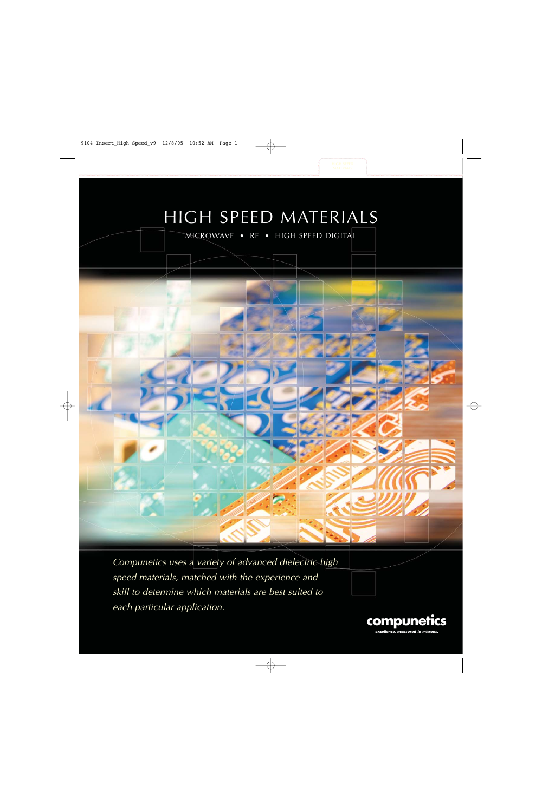# HIGH SPEED MATERIALS

MICROWAVE • RF • HIGH SPEED DIGITAL



Compunetics uses a variety of advanced dielectric high speed materials, matched with the experience and skill to determine which materials are best suited to each particular application.

> **compunetics excellence, measured in microns.**